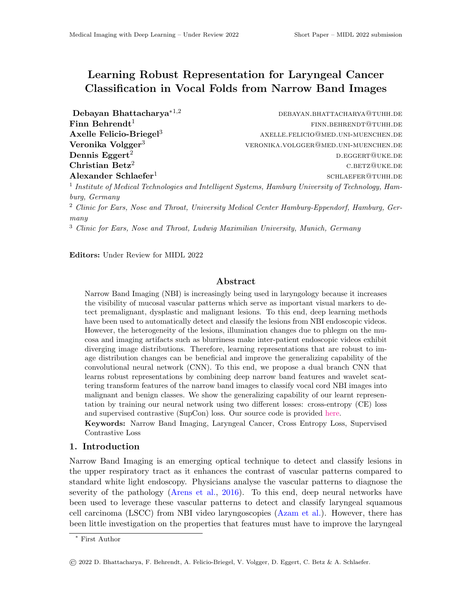# Learning Robust Representation for Laryngeal Cancer Classification in Vocal Folds from Narrow Band Images

Alexander Schlaefer<sup>1</sup>

Debayan Bhattacharya<sup>∗1,2</sup> debayan.bhattacharya<sup>∗1,2</sup> debayan.bhattacharya<sup>∗1,2</sup> Finn Behrendt<sup>1</sup> finn.behrendt<sup>1</sup> Axelle Felicio-Briegel<sup>3</sup> axelle.felicio@med.uni-muenchen.de **Veronika Volgger<sup>3</sup> veronika.volgger@med.uni-muenchen.de Dennis Eggert<sup>2</sup>** d.e. the contract of the contract of the contract of the contract of the contract of the contract of the contract of the contract of the contract of the contract of the contract of the contract of the c  $\text{Christian Beta}^2$  c.betz@uke.de schlaefer@tuhh.de

<sup>1</sup> Institute of Medical Technologies and Intelligent Systems, Hamburg University of Technology, Hamburg, Germany

<sup>2</sup> Clinic for Ears, Nose and Throat, University Medical Center Hamburg-Eppendorf, Hamburg, Germany

<sup>3</sup> Clinic for Ears, Nose and Throat, Ludwig Maximilian University, Munich, Germany

Editors: Under Review for MIDL 2022

## Abstract

Narrow Band Imaging (NBI) is increasingly being used in laryngology because it increases the visibility of mucosal vascular patterns which serve as important visual markers to detect premalignant, dysplastic and malignant lesions. To this end, deep learning methods have been used to automatically detect and classify the lesions from NBI endoscopic videos. However, the heterogeneity of the lesions, illumination changes due to phlegm on the mucosa and imaging artifacts such as blurriness make inter-patient endoscopic videos exhibit diverging image distributions. Therefore, learning representations that are robust to image distribution changes can be beneficial and improve the generalizing capability of the convolutional neural network (CNN). To this end, we propose a dual branch CNN that learns robust representations by combining deep narrow band features and wavelet scattering transform features of the narrow band images to classify vocal cord NBI images into malignant and benign classes. We show the generalizing capability of our learnt representation by training our neural network using two different losses: cross-entropy (CE) loss and supervised contrastive (SupCon) loss. Our source code is provided [here.](https://github.com/dawnofthedebayan/DualBranchNBI)

Keywords: Narrow Band Imaging, Laryngeal Cancer, Cross Entropy Loss, Supervised Contrastive Loss

## 1. Introduction

Narrow Band Imaging is an emerging optical technique to detect and classify lesions in the upper respiratory tract as it enhances the contrast of vascular patterns compared to standard white light endoscopy. Physicians analyse the vascular patterns to diagnose the severity of the pathology [\(Arens et al.,](#page-2-0) [2016\)](#page-2-0). To this end, deep neural networks have been used to leverage these vascular patterns to detect and classify laryngeal squamous cell carcinoma (LSCC) from NBI video laryngoscopies [\(Azam et al.\)](#page-2-1). However, there has been little investigation on the properties that features must have to improve the laryngeal

<sup>∗</sup> First Author

<sup>©</sup> 2022 D. Bhattacharya, F. Behrendt, A. Felicio-Briegel, V. Volgger, D. Eggert, C. Betz & A. Schlaefer.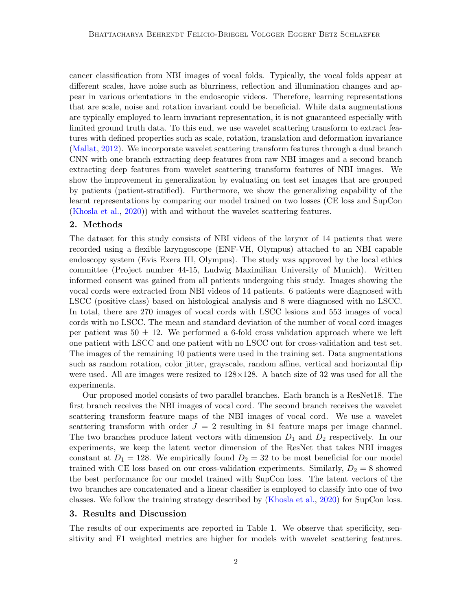cancer classification from NBI images of vocal folds. Typically, the vocal folds appear at different scales, have noise such as blurriness, reflection and illumination changes and appear in various orientations in the endoscopic videos. Therefore, learning representations that are scale, noise and rotation invariant could be beneficial. While data augmentations are typically employed to learn invariant representation, it is not guaranteed especially with limited ground truth data. To this end, we use wavelet scattering transform to extract features with defined properties such as scale, rotation, translation and deformation invariance [\(Mallat,](#page-2-2) [2012\)](#page-2-2). We incorporate wavelet scattering transform features through a dual branch CNN with one branch extracting deep features from raw NBI images and a second branch extracting deep features from wavelet scattering transform features of NBI images. We show the improvement in generalization by evaluating on test set images that are grouped by patients (patient-stratified). Furthermore, we show the generalizing capability of the learnt representations by comparing our model trained on two losses (CE loss and SupCon [\(Khosla et al.,](#page-2-3) [2020\)](#page-2-3)) with and without the wavelet scattering features.

### 2. Methods

The dataset for this study consists of NBI videos of the larynx of 14 patients that were recorded using a flexible laryngoscope (ENF-VH, Olympus) attached to an NBI capable endoscopy system (Evis Exera III, Olympus). The study was approved by the local ethics committee (Project number 44-15, Ludwig Maximilian University of Munich). Written informed consent was gained from all patients undergoing this study. Images showing the vocal cords were extracted from NBI videos of 14 patients. 6 patients were diagnosed with LSCC (positive class) based on histological analysis and 8 were diagnosed with no LSCC. In total, there are 270 images of vocal cords with LSCC lesions and 553 images of vocal cords with no LSCC. The mean and standard deviation of the number of vocal cord images per patient was  $50 \pm 12$ . We performed a 6-fold cross validation approach where we left one patient with LSCC and one patient with no LSCC out for cross-validation and test set. The images of the remaining 10 patients were used in the training set. Data augmentations such as random rotation, color jitter, grayscale, random affine, vertical and horizontal flip were used. All are images were resized to  $128 \times 128$ . A batch size of 32 was used for all the experiments.

Our proposed model consists of two parallel branches. Each branch is a ResNet18. The first branch receives the NBI images of vocal cord. The second branch receives the wavelet scattering transform feature maps of the NBI images of vocal cord. We use a wavelet scattering transform with order  $J = 2$  resulting in 81 feature maps per image channel. The two branches produce latent vectors with dimension  $D_1$  and  $D_2$  respectively. In our experiments, we keep the latent vector dimension of the ResNet that takes NBI images constant at  $D_1 = 128$ . We empirically found  $D_2 = 32$  to be most beneficial for our model trained with CE loss based on our cross-validation experiments. Similarly,  $D_2 = 8$  showed the best performance for our model trained with SupCon loss. The latent vectors of the two branches are concatenated and a linear classifier is employed to classify into one of two classes. We follow the training strategy described by [\(Khosla et al.,](#page-2-3) [2020\)](#page-2-3) for SupCon loss.

#### 3. Results and Discussion

The results of our experiments are reported in Table 1. We observe that specificity, sensitivity and F1 weighted metrics are higher for models with wavelet scattering features.